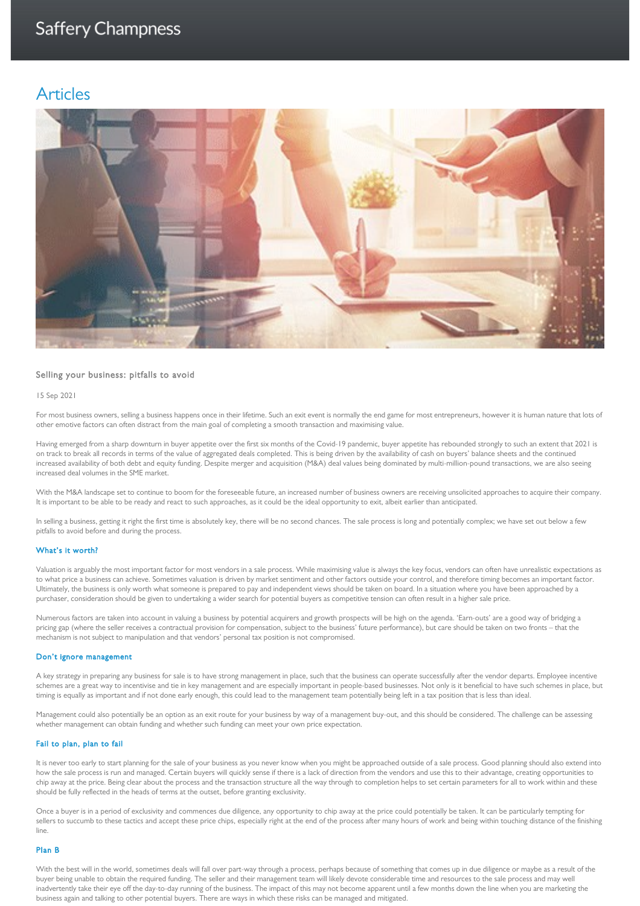# Saffery Champness

# Articles



# Selling your business: pitfalls to avoid

### 15 Sep 2021

For most business owners, selling a business happens once in their lifetime. Such an exit event is normally the end game for most entrepreneurs, however it is human nature that lots of other emotive factors can often distract from the main goal of completing a smooth transaction and maximising value.

Having emerged from a sharp downturn in buyer appetite over the first six months of the Covid-19 pandemic, buyer appetite has rebounded strongly to such an extent that 2021 is on track to break all records in terms of the value of aggregated deals completed. This is being driven by the availability of cash on buyers' balance sheets and the continued increased availability of both debt and equity funding. Despite merger and acquisition (M&A) deal values being dominated by multi-million-pound transactions, we are also seeing increased deal volumes in the SME market.

With the M&A landscape set to continue to boom for the foreseeable future, an increased number of business owners are receiving unsolicited approaches to acquire their company. It is important to be able to be ready and react to such approaches, as it could be the ideal opportunity to exit, albeit earlier than anticipated.

In selling a business, getting it right the first time is absolutely key, there will be no second chances. The sale process is long and potentially complex; we have set out below a few pitfalls to avoid before and during the process.

# What's it worth?

Valuation is arguably the most important factor for most vendors in a sale process. While maximising value is always the key focus, vendors can often have unrealistic expectations as to what price a business can achieve. Sometimes valuation is driven by market sentiment and other factors outside your control, and therefore timing becomes an important factor. Ultimately, the business is only worth what someone is prepared to pay and independent views should be taken on board. In a situation where you have been approached by a purchaser, consideration should be given to undertaking a wider search for potential buyers as competitive tension can often result in a higher sale price.

Numerous factors are taken into account in valuing a business by potential acquirers and growth prospects will be high on the agenda. 'Earn-outs' are a good way of bridging a pricing gap (where the seller receives a contractual provision for compensation, subject to the business' future performance), but care should be taken on two fronts – that the mechanism is not subject to manipulation and that vendors' personal tax position is not compromised.

#### Don't ignore management

A key strategy in preparing any business for sale is to have strong management in place, such that the business can operate successfully after the vendor departs. Employee incentive schemes are a great way to incentivise and tie in key management and are especially important in people-based businesses. Not only is it beneficial to have such schemes in place, but timing is equally as important and if not done early enough, this could lead to the management team potentially being left in a tax position that is less than ideal.

Management could also potentially be an option as an exit route for your business by way of a management buy-out, and this should be considered. The challenge can be assessing whether management can obtain funding and whether such funding can meet your own price expectation.

#### Fail to plan, plan to fail

It is never too early to start planning for the sale of your business as you never know when you might be approached outside of a sale process. Good planning should also extend into how the sale process is run and managed. Certain buyers will quickly sense if there is a lack of direction from the vendors and use this to their advantage, creating opportunities to chip away at the price. Being clear about the process and the transaction structure all the way through to completion helps to set certain parameters for all to work within and these should be fully reflected in the heads of terms at the outset, before granting exclusivity.

Once a buyer is in a period of exclusivity and commences due diligence, any opportunity to chip away at the price could potentially be taken. It can be particularly tempting for sellers to succumb to these tactics and accept these price chips, especially right at the end of the process after many hours of work and being within touching distance of the finishing line.

#### Plan B

With the best will in the world, sometimes deals will fall over part-way through a process, perhaps because of something that comes up in due diligence or maybe as a result of the buyer being unable to obtain the required funding. The seller and their management team will likely devote considerable time and resources to the sale process and may well inadvertently take their eye off the day-to-day running of the business. The impact of this may not become apparent until a few months down the line when you are marketing the business again and talking to other potential buyers. There are ways in which these risks can be managed and mitigated.